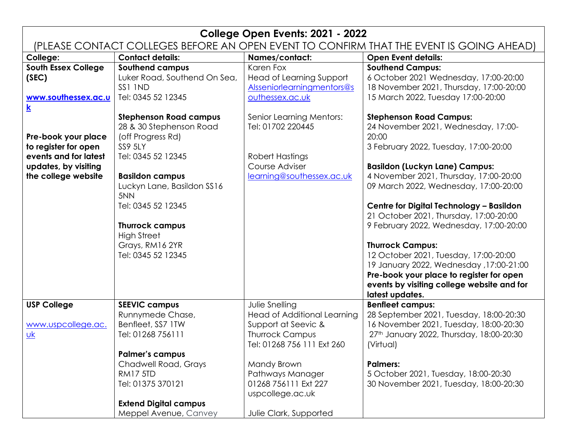## **College Open Events: 2021 - 2022** (PLEASE CONTACT COLLEGES BEFORE AN OPEN EVENT TO CONFIRM THAT THE EVENT IS GOING AHEAD) **College: Contact details: Names/contact: Open Event details: South Essex College (SEC) [www.southessex.ac.u](http://www.southessex.ac.uk/) [k](http://www.southessex.ac.uk/) Pre-book your place to register for open events and for latest updates, by visiting the college website Southend campus** Luker Road, Southend On Sea, SS1 1ND Tel: 0345 52 12345 **Stephenson Road campus** 28 & 30 Stephenson Road (off Progress Rd) SS9 5LY Tel: 0345 52 12345 **Basildon campus** Luckyn Lane, Basildon SS16 5NN Tel: 0345 52 12345 **Thurrock campus** High Street Grays, RM16 2YR Tel: 0345 52 12345 Karen Fox Head of Learning Support [Alsseniorlearningmentors@s](mailto:Alsseniorlearningmentors@southessex.ac.uk) [outhessex.ac.uk](mailto:Alsseniorlearningmentors@southessex.ac.uk) Senior Learning Mentors: Tel: 01702 220445 Robert Hastings Course Adviser [learning@southessex.ac.uk](mailto:learning@southessex.ac.uk) **Southend Campus:** 6 October 2021 Wednesday, 17:00-20:00 18 November 2021, Thursday, 17:00-20:00 15 March 2022, Tuesday 17:00-20:00 **Stephenson Road Campus:** 24 November 2021, Wednesday, 17:00- 20:00 3 February 2022, Tuesday, 17:00-20:00 **Basildon (Luckyn Lane) Campus:** 4 November 2021, Thursday, 17:00-20:00 09 March 2022, Wednesday, 17:00-20:00 **Centre for Digital Technology – Basildon** 21 October 2021, Thursday, 17:00-20:00 9 February 2022, Wednesday, 17:00-20:00 **Thurrock Campus:** 12 October 2021, Tuesday, 17:00-20:00 19 January 2022, Wednesday ,17:00-21:00 **Pre-book your place to register for open events by visiting college website and for latest updates. USP College** [www.uspcollege.ac.](http://www.uspcollege.ac.uk/) [uk](http://www.uspcollege.ac.uk/) **SEEVIC campus** Runnymede Chase, Benfleet, SS7 1TW Tel: 01268 756111 **Palmer's campus** Chadwell Road, Grays RM17 5TD Tel: 01375 370121 **Extend Digital campus** Meppel Avenue, Canvey Julie Snelling Head of Additional Learning Support at Seevic & Thurrock Campus Tel: 01268 756 111 Ext 260 Mandy Brown Pathways Manager 01268 756111 Ext 227 uspcollege.ac.uk Julie Clark, Supported **Benfleet campus:** 28 September 2021, Tuesday, 18:00-20:30 16 November 2021, Tuesday, 18:00-20:30 27th January 2022, Thursday, 18:00-20:30 (Virtual) **Palmers:** 5 October 2021, Tuesday, 18:00-20:30 30 November 2021, Tuesday, 18:00-20:30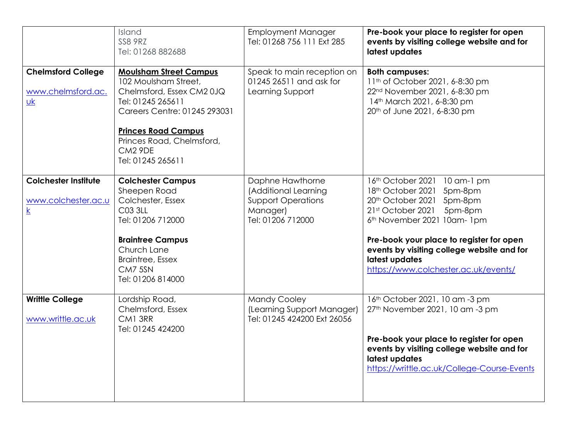|                                                                             | Island<br><b>SS8 9RZ</b><br>Tel: 01268 882688                                                                                                                                                                                                  | <b>Employment Manager</b><br>Tel: 01268 756 111 Ext 285                                                | Pre-book your place to register for open<br>events by visiting college website and for<br>latest updates                                                                                                                                                                                                             |
|-----------------------------------------------------------------------------|------------------------------------------------------------------------------------------------------------------------------------------------------------------------------------------------------------------------------------------------|--------------------------------------------------------------------------------------------------------|----------------------------------------------------------------------------------------------------------------------------------------------------------------------------------------------------------------------------------------------------------------------------------------------------------------------|
| <b>Chelmsford College</b><br>www.chelmsford.ac.<br>$\underline{\mathsf{u}}$ | <b>Moulsham Street Campus</b><br>102 Moulsham Street,<br>Chelmsford, Essex CM2 0JQ<br>Tel: 01245 265611<br>Careers Centre: 01245 293031<br><b>Princes Road Campus</b><br>Princes Road, Chelmsford,<br>CM <sub>2</sub> 9DE<br>Tel: 01245 265611 | Speak to main reception on<br>01245 26511 and ask for<br>Learning Support                              | <b>Both campuses:</b><br>11 <sup>th</sup> of October 2021, 6-8:30 pm<br>22 <sup>nd</sup> November 2021, 6-8:30 pm<br>14th March 2021, 6-8:30 pm<br>20th of June 2021, 6-8:30 pm                                                                                                                                      |
| <b>Colchester Institute</b><br>www.colchester.ac.u<br>$\underline{k}$       | <b>Colchester Campus</b><br>Sheepen Road<br>Colchester, Essex<br>C03 3LL<br>Tel: 01206 712000<br><b>Braintree Campus</b><br>Church Lane<br><b>Braintree, Essex</b><br>CM7 5SN<br>Tel: 01206 814000                                             | Daphne Hawthorne<br>(Additional Learning<br><b>Support Operations</b><br>Manager)<br>Tel: 01206 712000 | 16th October 2021 10 am-1 pm<br>18th October 2021 5pm-8pm<br>20th October 2021 5pm-8pm<br>21st October 2021<br>5pm-8pm<br>6 <sup>th</sup> November 2021 10am-1pm<br>Pre-book your place to register for open<br>events by visiting college website and for<br>latest updates<br>https://www.colchester.ac.uk/events/ |
| <b>Writtle College</b><br>www.writtle.ac.uk                                 | Lordship Road,<br>Chelmsford, Essex<br>CM1 3RR<br>Tel: 01245 424200                                                                                                                                                                            | <b>Mandy Cooley</b><br>(Learning Support Manager)<br>Tel: 01245 424200 Ext 26056                       | 16th October 2021, 10 am -3 pm<br>27 <sup>th</sup> November 2021, 10 am -3 pm<br>Pre-book your place to register for open<br>events by visiting college website and for<br>latest updates<br>https://writtle.ac.uk/College-Course-Events                                                                             |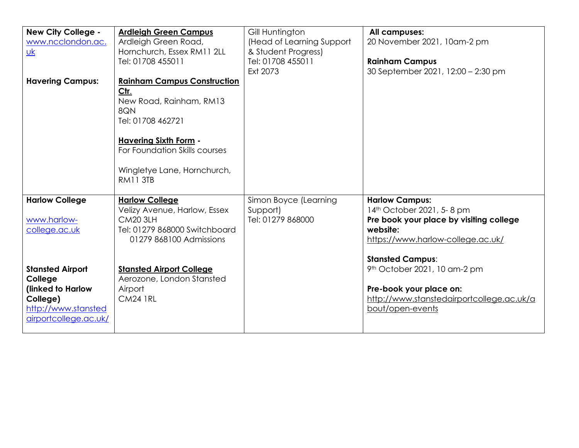| <b>New City College -</b><br>www.ncclondon.ac.<br>$\underline{\mathsf{u}}$<br><b>Havering Campus:</b>               | <b>Ardleigh Green Campus</b><br>Ardleigh Green Road,<br>Hornchurch, Essex RM11 2LL<br>Tel: 01708 455011<br><b>Rainham Campus Construction</b><br>Ctr.<br>New Road, Rainham, RM13<br>8QN<br>Tel: 01708 462721<br><b>Havering Sixth Form -</b><br>For Foundation Skills courses<br>Wingletye Lane, Hornchurch, | Gill Huntington<br>(Head of Learning Support<br>& Student Progress)<br>Tel: 01708 455011<br>Ext 2073 | All campuses:<br>20 November 2021, 10am-2 pm<br><b>Rainham Campus</b><br>30 September 2021, 12:00 - 2:30 pm                                                               |
|---------------------------------------------------------------------------------------------------------------------|--------------------------------------------------------------------------------------------------------------------------------------------------------------------------------------------------------------------------------------------------------------------------------------------------------------|------------------------------------------------------------------------------------------------------|---------------------------------------------------------------------------------------------------------------------------------------------------------------------------|
|                                                                                                                     | <b>RM11 3TB</b>                                                                                                                                                                                                                                                                                              |                                                                                                      |                                                                                                                                                                           |
| <b>Harlow College</b><br>www.harlow-<br>college.ac.uk                                                               | <b>Harlow College</b><br>Velizy Avenue, Harlow, Essex<br><b>CM20 3LH</b><br>Tel: 01279 868000 Switchboard<br>01279 868100 Admissions                                                                                                                                                                         | Simon Boyce (Learning<br>Support)<br>Tel: 01279 868000                                               | <b>Harlow Campus:</b><br>14th October 2021, 5-8 pm<br>Pre book your place by visiting college<br>website:<br>https://www.harlow-college.ac.uk/<br><b>Stansted Campus:</b> |
| <b>Stansted Airport</b><br>College<br>(linked to Harlow<br>College)<br>http://www.stansted<br>airportcollege.ac.uk/ | <b>Stansted Airport College</b><br>Aerozone, London Stansted<br>Airport<br><b>CM24 1RL</b>                                                                                                                                                                                                                   |                                                                                                      | 9 <sup>th</sup> October 2021, 10 am-2 pm<br>Pre-book your place on:<br>http://www.stanstedairportcollege.ac.uk/a<br>bout/open-events                                      |